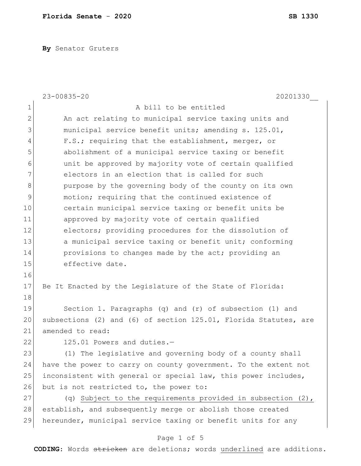**By** Senator Gruters

|              | $23 - 00835 - 20$<br>20201330                                    |
|--------------|------------------------------------------------------------------|
| $\mathbf 1$  | A bill to be entitled                                            |
| $\mathbf{2}$ | An act relating to municipal service taxing units and            |
| 3            | municipal service benefit units; amending s. 125.01,             |
| 4            | F.S.; requiring that the establishment, merger, or               |
| 5            | abolishment of a municipal service taxing or benefit             |
| 6            | unit be approved by majority vote of certain qualified           |
| 7            | electors in an election that is called for such                  |
| $\,8\,$      | purpose by the governing body of the county on its own           |
| 9            | motion; requiring that the continued existence of                |
| 10           | certain municipal service taxing or benefit units be             |
| 11           | approved by majority vote of certain qualified                   |
| 12           | electors; providing procedures for the dissolution of            |
| 13           | a municipal service taxing or benefit unit; conforming           |
| 14           | provisions to changes made by the act; providing an              |
| 15           | effective date.                                                  |
| 16           |                                                                  |
| 17           | Be It Enacted by the Legislature of the State of Florida:        |
| 18           |                                                                  |
| 19           | Section 1. Paragraphs (q) and (r) of subsection (1) and          |
| 20           | subsections (2) and (6) of section 125.01, Florida Statutes, are |
| 21           | amended to read:                                                 |
| 22           | 125.01 Powers and duties.-                                       |
| 23           | (1) The legislative and governing body of a county shall         |
| 24           | have the power to carry on county government. To the extent not  |
| 25           | inconsistent with general or special law, this power includes,   |
| 26           | but is not restricted to, the power to:                          |
| 27           | (q) Subject to the requirements provided in subsection $(2)$ ,   |
| 28           | establish, and subsequently merge or abolish those created       |
| 29           | hereunder, municipal service taxing or benefit units for any     |
|              |                                                                  |

# Page 1 of 5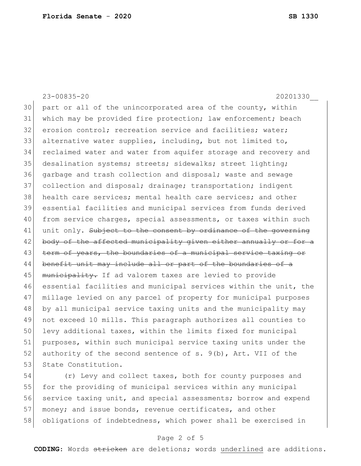23-00835-20 20201330\_\_ 30 part or all of the unincorporated area of the county, within 31 which may be provided fire protection; law enforcement; beach 32 erosion control; recreation service and facilities; water; 33 alternative water supplies, including, but not limited to, 34 reclaimed water and water from aquifer storage and recovery and 35 desalination systems; streets; sidewalks; street lighting; 36 garbage and trash collection and disposal; waste and sewage 37 collection and disposal; drainage; transportation; indigent 38 health care services; mental health care services; and other 39 essential facilities and municipal services from funds derived 40 from service charges, special assessments, or taxes within such 41 unit only. Subject to the consent by ordinance of the governing 42 body of the affected municipality given either annually or for a 43 term of years, the boundaries of a municipal service taxing or 44 benefit unit may include all or part of the boundaries of a 45 | municipality. If ad valorem taxes are levied to provide 46 essential facilities and municipal services within the unit, the 47 millage levied on any parcel of property for municipal purposes 48 by all municipal service taxing units and the municipality may 49 not exceed 10 mills. This paragraph authorizes all counties to 50 levy additional taxes, within the limits fixed for municipal 51 purposes, within such municipal service taxing units under the 52 authority of the second sentence of s.  $9(b)$ , Art. VII of the 53 State Constitution.

54 (r) Levy and collect taxes, both for county purposes and 55 for the providing of municipal services within any municipal 56 service taxing unit, and special assessments; borrow and expend 57 money; and issue bonds, revenue certificates, and other 58 obligations of indebtedness, which power shall be exercised in

# Page 2 of 5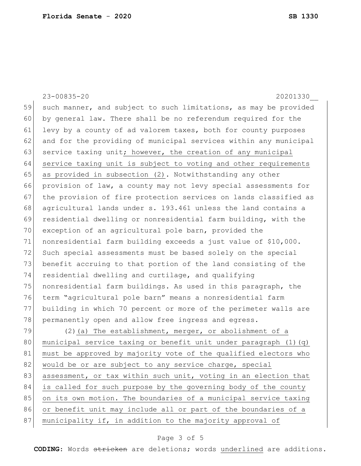23-00835-20 20201330\_\_ 59 such manner, and subject to such limitations, as may be provided 60 by general law. There shall be no referendum required for the 61 levy by a county of ad valorem taxes, both for county purposes 62 and for the providing of municipal services within any municipal 63 service taxing unit; however, the creation of any municipal 64 service taxing unit is subject to voting and other requirements 65 as provided in subsection (2). Notwithstanding any other 66 provision of law, a county may not levy special assessments for 67 the provision of fire protection services on lands classified as 68 agricultural lands under s. 193.461 unless the land contains a 69 residential dwelling or nonresidential farm building, with the 70 exception of an agricultural pole barn, provided the 71 nonresidential farm building exceeds a just value of \$10,000. 72 Such special assessments must be based solely on the special 73 benefit accruing to that portion of the land consisting of the 74 residential dwelling and curtilage, and qualifying 75 nonresidential farm buildings. As used in this paragraph, the 76 term "agricultural pole barn" means a nonresidential farm 77 building in which 70 percent or more of the perimeter walls are 78 permanently open and allow free ingress and egress. 79  $(2)$  (a) The establishment, merger, or abolishment of a 80 municipal service taxing or benefit unit under paragraph (1)(q) 81 must be approved by majority vote of the qualified electors who 82 would be or are subject to any service charge, special 83 assessment, or tax within such unit, voting in an election that 84 is called for such purpose by the governing body of the county 85 on its own motion. The boundaries of a municipal service taxing 86 or benefit unit may include all or part of the boundaries of a 87 municipality if, in addition to the majority approval of

### Page 3 of 5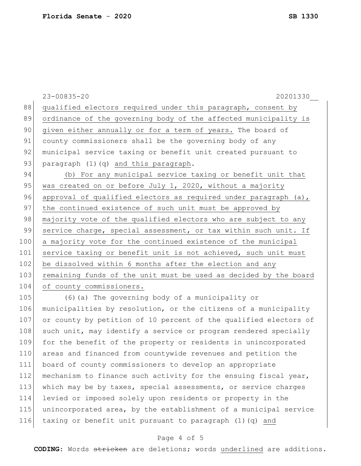23-00835-20 20201330\_\_ 88 qualified electors required under this paragraph, consent by 89 ordinance of the governing body of the affected municipality is 90 given either annually or for a term of years. The board of 91 county commissioners shall be the governing body of any 92 municipal service taxing or benefit unit created pursuant to 93 paragraph (1)(q) and this paragraph. 94 (b) For any municipal service taxing or benefit unit that 95 was created on or before July 1, 2020, without a majority 96 approval of qualified electors as required under paragraph (a), 97 the continued existence of such unit must be approved by 98 majority vote of the qualified electors who are subject to any 99 service charge, special assessment, or tax within such unit. If 100 a majority vote for the continued existence of the municipal 101 service taxing or benefit unit is not achieved, such unit must 102 be dissolved within 6 months after the election and any 103 remaining funds of the unit must be used as decided by the board 104 of county commissioners. 105 (6) (a) The governing body of a municipality or 106 municipalities by resolution, or the citizens of a municipality 107 or county by petition of 10 percent of the qualified electors of 108 such unit, may identify a service or program rendered specially 109 for the benefit of the property or residents in unincorporated 110 areas and financed from countywide revenues and petition the 111 board of county commissioners to develop an appropriate 112 mechanism to finance such activity for the ensuing fiscal year, 113 which may be by taxes, special assessments, or service charges 114 levied or imposed solely upon residents or property in the 115 unincorporated area, by the establishment of a municipal service 116 taxing or benefit unit pursuant to paragraph  $(1)(q)$  and

# Page 4 of 5